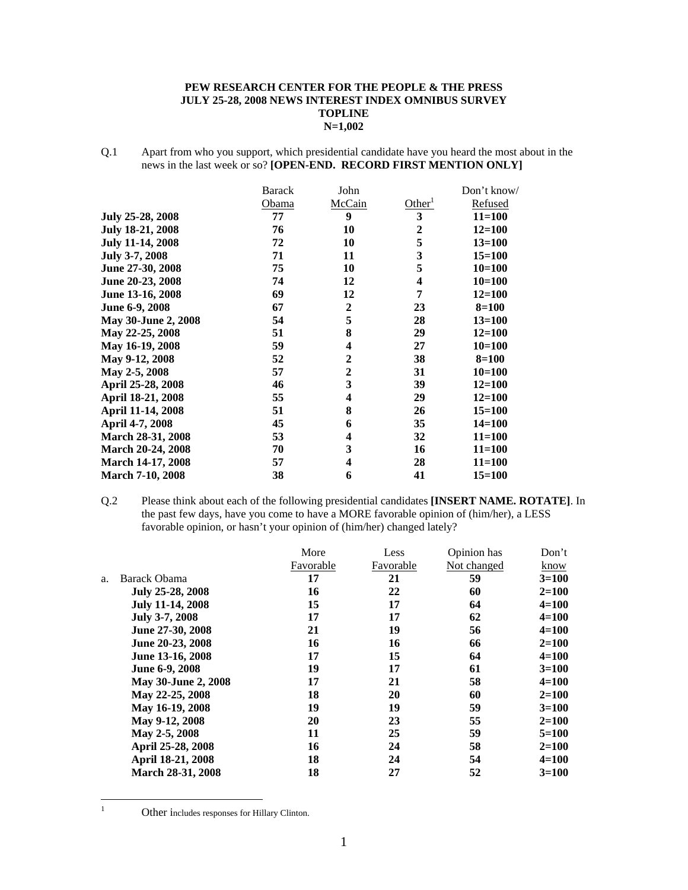#### **PEW RESEARCH CENTER FOR THE PEOPLE & THE PRESS JULY 25-28, 2008 NEWS INTEREST INDEX OMNIBUS SURVEY TOPLINE N=1,002**

Q.1 Apart from who you support, which presidential candidate have you heard the most about in the news in the last week or so? **[OPEN-END. RECORD FIRST MENTION ONLY]** 

|                         | <b>Barack</b> | John             |                    | Don't know/ |
|-------------------------|---------------|------------------|--------------------|-------------|
|                         | Obama         | McCain           | Other <sup>1</sup> | Refused     |
| July 25-28, 2008        | 77            | 9                | 3                  | $11 = 100$  |
| <b>July 18-21, 2008</b> | 76            | 10               | $\boldsymbol{2}$   | $12 = 100$  |
| <b>July 11-14, 2008</b> | 72            | 10               | 5                  | $13 = 100$  |
| July 3-7, 2008          | 71            | 11               | 3                  | $15 = 100$  |
| June 27-30, 2008        | 75            | 10               | 5                  | $10=100$    |
| June 20-23, 2008        | 74            | 12               | 4                  | $10 = 100$  |
| June 13-16, 2008        | 69            | 12               | 7                  | $12 = 100$  |
| June 6-9, 2008          | 67            | $\boldsymbol{2}$ | 23                 | $8 = 100$   |
| May 30-June 2, 2008     | 54            | 5                | 28                 | $13 = 100$  |
| May 22-25, 2008         | 51            | 8                | 29                 | $12 = 100$  |
| May 16-19, 2008         | 59            | 4                | 27                 | $10=100$    |
| May 9-12, 2008          | 52            | $\overline{2}$   | 38                 | $8 = 100$   |
| May 2-5, 2008           | 57            | $\overline{2}$   | 31                 | $10=100$    |
| April 25-28, 2008       | 46            | 3                | 39                 | $12 = 100$  |
| April 18-21, 2008       | 55            | 4                | 29                 | $12 = 100$  |
| April 11-14, 2008       | 51            | 8                | 26                 | $15 = 100$  |
| April 4-7, 2008         | 45            | 6                | 35                 | $14 = 100$  |
| March 28-31, 2008       | 53            | 4                | 32                 | $11 = 100$  |
| March 20-24, 2008       | 70            | 3                | 16                 | $11 = 100$  |
| March 14-17, 2008       | 57            | 4                | 28                 | $11 = 100$  |
| <b>March 7-10, 2008</b> | 38            | 6                | 41                 | $15 = 100$  |

Q.2 Please think about each of the following presidential candidates **[INSERT NAME. ROTATE]**. In the past few days, have you come to have a MORE favorable opinion of (him/her), a LESS favorable opinion, or hasn't your opinion of (him/her) changed lately?

|                         | More      | Less      | Opinion has | Don't     |
|-------------------------|-----------|-----------|-------------|-----------|
|                         | Favorable | Favorable | Not changed | know      |
| Barack Obama            | 17        | 21        | 59          | $3=100$   |
| July 25-28, 2008        | 16        | 22        | 60          | $2 = 100$ |
| <b>July 11-14, 2008</b> | 15        | 17        | 64          | $4 = 100$ |
| July 3-7, 2008          | 17        | 17        | 62          | $4=100$   |
| June 27-30, 2008        | 21        | 19        | 56          | $4 = 100$ |
| June 20-23, 2008        | 16        | 16        | 66          | $2 = 100$ |
| June 13-16, 2008        | 17        | 15        | 64          | $4 = 100$ |
| June 6-9, 2008          | 19        | 17        | 61          | $3=100$   |
| May 30-June 2, 2008     | 17        | 21        | 58          | $4 = 100$ |
| May 22-25, 2008         | 18        | 20        | 60          | $2 = 100$ |
| May 16-19, 2008         | 19        | 19        | 59          | $3=100$   |
| May 9-12, 2008          | 20        | 23        |             | $2=100$   |
| May 2-5, 2008           | 11        | 25        | 59          | $5 = 100$ |
| April 25-28, 2008       | 16        | 24        | 58          | $2 = 100$ |
| April 18-21, 2008       | 18        | 24        | 54          | $4 = 100$ |
| March 28-31, 2008       | 18        | 27        | 52          | $3=100$   |
|                         |           |           |             | 55        |

 $\frac{1}{1}$ 

Other includes responses for Hillary Clinton.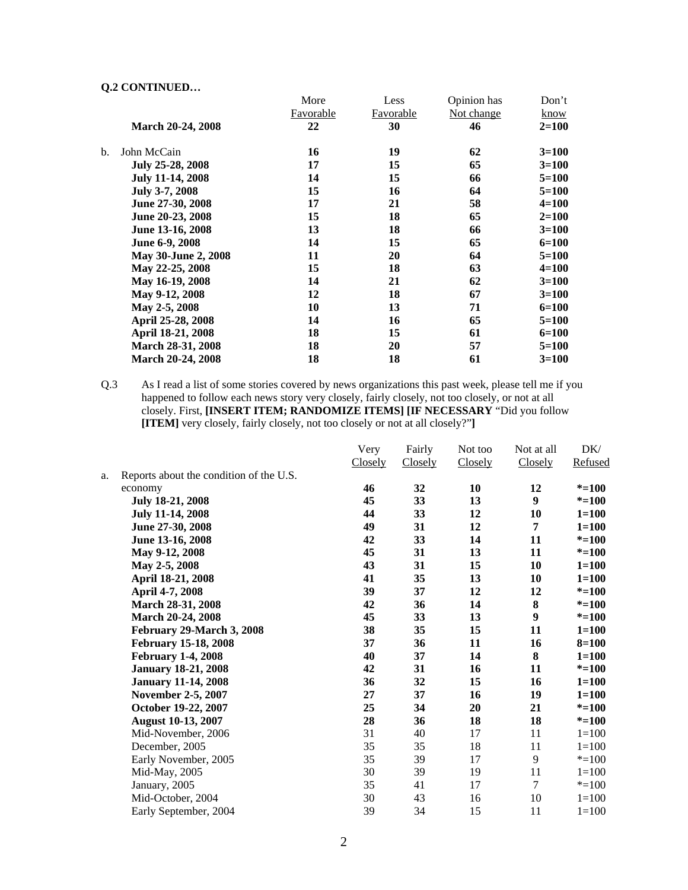|    |                            | More             | Less             | Opinion has | Don't     |
|----|----------------------------|------------------|------------------|-------------|-----------|
|    |                            | <b>Favorable</b> | <b>Favorable</b> | Not change  | know      |
|    | <b>March 20-24, 2008</b>   | 22               | 30               | 46          | $2 = 100$ |
| b. | John McCain                | 16               | 19               | 62          | $3=100$   |
|    | July 25-28, 2008           | 17               | 15               | 65          | $3=100$   |
|    | <b>July 11-14, 2008</b>    | 14               | 15               | 66          | $5=100$   |
|    | July 3-7, 2008             | 15               | 16               | 64          | $5=100$   |
|    | June 27-30, 2008           | 17               | 21               | 58          | $4 = 100$ |
|    | June 20-23, 2008           | 15               | 18               | 65          | $2 = 100$ |
|    | June 13-16, 2008           | 13               | 18               | 66          | $3=100$   |
|    | June 6-9, 2008             | 14               | 15               | 65          | $6=100$   |
|    | <b>May 30-June 2, 2008</b> | 11               | 20               | 64          | $5=100$   |
|    | May 22-25, 2008            | 15               | 18               | 63          | $4 = 100$ |
|    | May 16-19, 2008            | 14               | 21               | 62          | $3=100$   |
|    | May 9-12, 2008             | 12               | 18               | 67          | $3=100$   |
|    | May 2-5, 2008              | 10               | 13               | 71          | $6 = 100$ |
|    | April 25-28, 2008          | 14               | 16               | 65          | $5=100$   |
|    | April 18-21, 2008          | 18               | 15               | 61          | $6=100$   |
|    | March 28-31, 2008          | 18               | 20               | 57          | $5=100$   |
|    | <b>March 20-24, 2008</b>   | 18               | 18               | 61          | $3=100$   |

Q.3 As I read a list of some stories covered by news organizations this past week, please tell me if you happened to follow each news story very closely, fairly closely, not too closely, or not at all closely. First, **[INSERT ITEM; RANDOMIZE ITEMS] [IF NECESSARY** "Did you follow **[ITEM]** very closely, fairly closely, not too closely or not at all closely?"**]** 

|    |                                         | Very           | Fairly  | Not too | Not at all     | DK/       |
|----|-----------------------------------------|----------------|---------|---------|----------------|-----------|
|    |                                         | <b>Closely</b> | Closely | Closely | Closely        | Refused   |
| a. | Reports about the condition of the U.S. |                |         |         |                |           |
|    | economy                                 | 46             | 32      | 10      | 12             | $* = 100$ |
|    | July 18-21, 2008                        | 45             | 33      | 13      | 9              | $* = 100$ |
|    | <b>July 11-14, 2008</b>                 | 44             | 33      | 12      | 10             | $1 = 100$ |
|    | June 27-30, 2008                        | 49             | 31      | 12      | 7              | $1 = 100$ |
|    | June 13-16, 2008                        | 42             | 33      | 14      | 11             | $* = 100$ |
|    | May 9-12, 2008                          | 45             | 31      | 13      | 11             | $* = 100$ |
|    | May 2-5, 2008                           | 43             | 31      | 15      | 10             | $1 = 100$ |
|    | April 18-21, 2008                       | 41             | 35      | 13      | 10             | $1 = 100$ |
|    | April 4-7, 2008                         | 39             | 37      | 12      | 12             | $* = 100$ |
|    | March 28-31, 2008                       | 42             | 36      | 14      | $\bf{8}$       | $* = 100$ |
|    | March 20-24, 2008                       | 45             | 33      | 13      | 9              | $* = 100$ |
|    | February 29-March 3, 2008               | 38             | 35      | 15      | 11             | $1 = 100$ |
|    | <b>February 15-18, 2008</b>             | 37             | 36      | 11      | 16             | $8 = 100$ |
|    | <b>February 1-4, 2008</b>               | 40             | 37      | 14      | 8              | $1 = 100$ |
|    | <b>January 18-21, 2008</b>              | 42             | 31      | 16      | 11             | $* = 100$ |
|    | <b>January 11-14, 2008</b>              | 36             | 32      | 15      | 16             | $1 = 100$ |
|    | November 2-5, 2007                      | 27             | 37      | 16      | 19             | $1 = 100$ |
|    | October 19-22, 2007                     | 25             | 34      | 20      | 21             | $* = 100$ |
|    | <b>August 10-13, 2007</b>               | 28             | 36      | 18      | 18             | $* = 100$ |
|    | Mid-November, 2006                      | 31             | 40      | 17      | 11             | $1 = 100$ |
|    | December, 2005                          | 35             | 35      | 18      | 11             | $1 = 100$ |
|    | Early November, 2005                    | 35             | 39      | 17      | 9              | $* = 100$ |
|    | Mid-May, 2005                           | 30             | 39      | 19      | 11             | $1 = 100$ |
|    | January, 2005                           | 35             | 41      | 17      | $\overline{7}$ | $* = 100$ |
|    | Mid-October, 2004                       | 30             | 43      | 16      | 10             | $1 = 100$ |
|    | Early September, 2004                   | 39             | 34      | 15      | 11             | $1 = 100$ |
|    |                                         |                |         |         |                |           |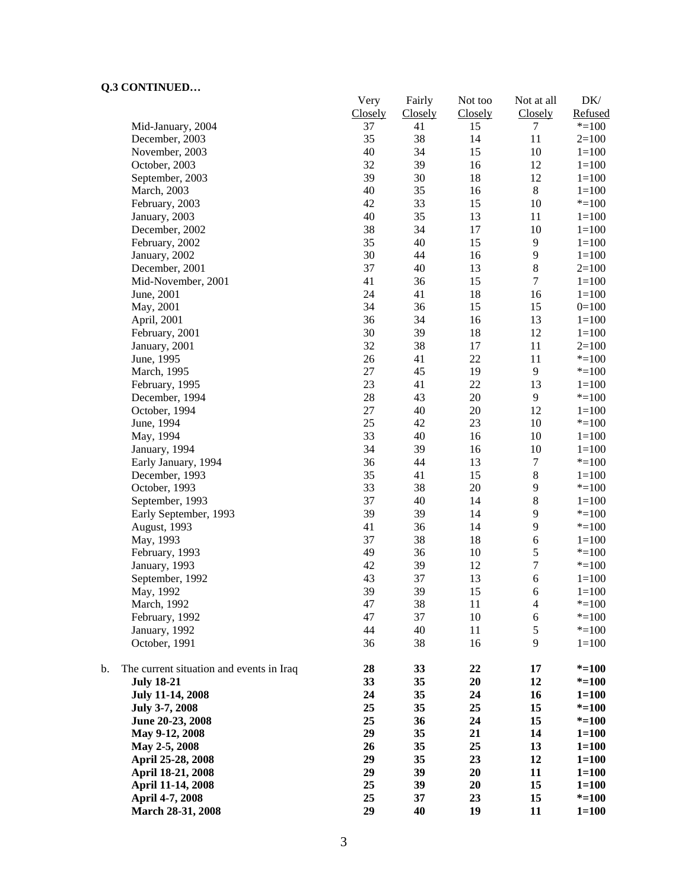| CONTRACED                                      | Very<br>Closely | Fairly<br>Closely | Not too<br>Closely | Not at all<br>Closely | $\rm DK/$<br>Refused |
|------------------------------------------------|-----------------|-------------------|--------------------|-----------------------|----------------------|
| Mid-January, 2004                              | 37              | 41                | 15                 | 7                     | $* = 100$            |
| December, 2003                                 | 35              | 38                | 14                 | 11                    | $2=100$              |
| November, 2003                                 | 40              | 34                | 15                 | 10                    | $1 = 100$            |
| October, 2003                                  | 32              | 39                | 16                 | 12                    | $1 = 100$            |
| September, 2003                                | 39              | 30                | 18                 | 12                    | $1 = 100$            |
| March, 2003                                    | 40              | 35                | 16                 | $8\,$                 | $1 = 100$            |
| February, 2003                                 | 42              | 33                | 15                 | 10                    | $* = 100$            |
| January, 2003                                  | 40              | 35                | 13                 | 11                    | $1 = 100$            |
| December, 2002                                 | 38              | 34                | 17                 | 10                    | $1 = 100$            |
| February, 2002                                 | 35              | 40                | 15                 | 9                     | $1 = 100$            |
| January, 2002                                  | 30              | 44                | 16                 | 9                     | $1 = 100$            |
| December, 2001                                 | 37              | 40                | 13                 | $\,$ 8 $\,$           | $2=100$              |
| Mid-November, 2001                             | 41              | 36                | 15                 | $\overline{7}$        | $1=100$              |
| June, 2001                                     | 24              | 41                | 18                 | 16                    | $1=100$              |
| May, 2001                                      | 34              | 36                | 15                 | 15                    | $0=100$              |
| April, 2001                                    | 36              | 34                | 16                 | 13                    | $1 = 100$            |
| February, 2001                                 | 30              | 39                | 18                 | 12                    | $1 = 100$            |
| January, 2001                                  | 32              | 38                | 17                 | 11                    | $2=100$              |
| June, 1995                                     | 26              | 41                | 22                 | 11                    | $* = 100$            |
| March, 1995                                    | 27              | 45                | 19                 | $\overline{9}$        | $* = 100$            |
| February, 1995                                 | 23              | 41                | 22                 | 13                    | $1 = 100$            |
| December, 1994                                 | 28              | 43                | 20                 | 9                     | $* = 100$            |
| October, 1994                                  | 27              | 40                | $20\,$             | 12                    | $1=100$              |
| June, 1994                                     | 25              | 42                | 23                 | 10                    | $* = 100$            |
| May, 1994                                      | 33              | 40                | 16                 | 10                    | $1=100$              |
| January, 1994                                  | 34              | 39                | 16                 | 10                    | $1 = 100$            |
| Early January, 1994                            | 36              | 44                | 13                 | $\boldsymbol{7}$      | $* = 100$            |
| December, 1993                                 | 35              | 41                | 15                 | $\,8\,$               | $1 = 100$            |
| October, 1993                                  | 33              | 38                | 20                 | $\mathbf{9}$          | $* = 100$            |
| September, 1993                                | 37              | 40                | 14                 | $\,8\,$               | $1 = 100$            |
| Early September, 1993                          | 39              | 39                | 14                 | $\overline{9}$        | $* = 100$            |
| August, 1993                                   | 41              | 36                | 14                 | 9                     | $* = 100$            |
| May, 1993                                      | 37              | 38                | 18                 | 6                     | $1 = 100$            |
| February, 1993                                 | 49              | 36                | 10                 | 5                     | $* = 100$            |
| January, 1993                                  | 42              | 39                | 12                 | $\boldsymbol{7}$      | $* = 100$            |
| September, 1992                                | 43              | 37                | 13                 | 6                     | $1 = 100$            |
| May, 1992                                      | 39              | 39                | 15                 | 6                     | $1=100$              |
| March, 1992                                    | 47              | 38                | 11                 | 4                     | $* = 100$            |
| February, 1992                                 | 47              | 37                | 10                 | 6                     | $* = 100$            |
| January, 1992                                  | 44              | 40                | 11                 | $\mathfrak s$         | $* = 100$            |
| October, 1991                                  | 36              | 38                | 16                 | 9                     |                      |
|                                                |                 |                   |                    |                       | $1 = 100$            |
| b.<br>The current situation and events in Iraq | 28              | 33                | 22                 | 17                    | $* = 100$            |
| <b>July 18-21</b>                              | 33              | 35                | 20                 | 12                    | $* = 100$            |
| <b>July 11-14, 2008</b>                        | 24              | 35                | 24                 | 16                    | $1 = 100$            |
| July 3-7, 2008                                 | 25              | 35                | 25                 | 15                    | $* = 100$            |
| June 20-23, 2008                               | 25              | 36                | 24                 | 15                    | $* = 100$            |
| May 9-12, 2008                                 | 29              | 35                | 21                 | 14                    | $1 = 100$            |
| May 2-5, 2008                                  | 26              | 35                | 25                 | 13                    | $1 = 100$            |
| April 25-28, 2008                              | 29              | 35                | 23                 | 12                    | $1 = 100$            |
| April 18-21, 2008                              | 29              | 39                | 20                 | 11                    | $1 = 100$            |
| April 11-14, 2008                              | 25              | 39                | 20                 | 15                    | $1 = 100$            |
| April 4-7, 2008                                | 25              | 37                | 23                 | 15                    | $* = 100$            |
| March 28-31, 2008                              | 29              | 40                | 19                 | 11                    | $1 = 100$            |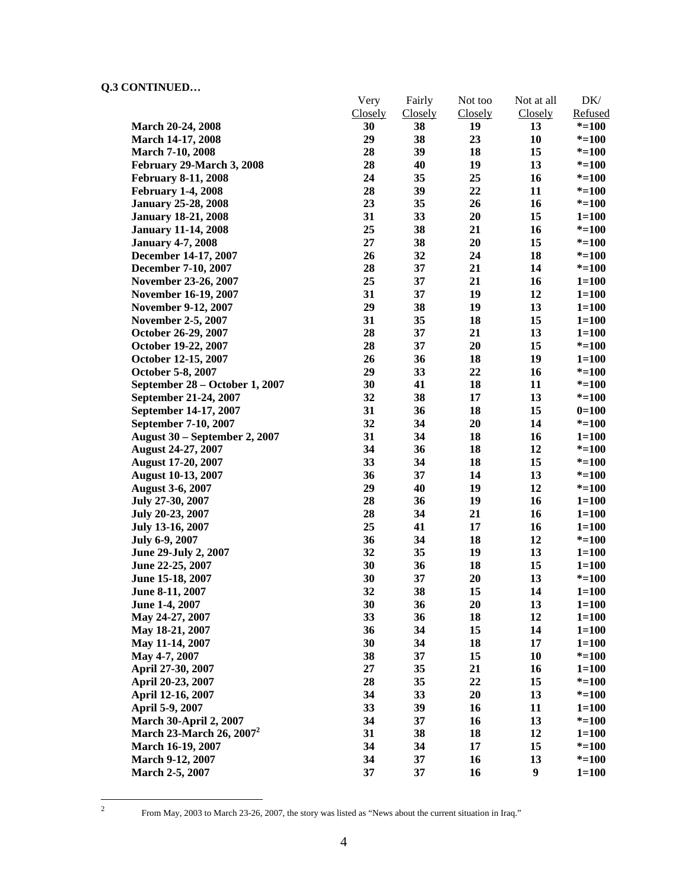|                                | Very           | Fairly         | Not too | Not at all | DK/       |
|--------------------------------|----------------|----------------|---------|------------|-----------|
|                                | <b>Closely</b> | <b>Closely</b> | Closely | Closely    | Refused   |
| March 20-24, 2008              | 30             | 38             | 19      | 13         | $* = 100$ |
| March 14-17, 2008              | 29             | 38             | 23      | 10         | $* = 100$ |
| <b>March 7-10, 2008</b>        | 28             | 39             | 18      | 15         | $* = 100$ |
| February 29-March 3, 2008      | 28             | 40             | 19      | 13         | $* = 100$ |
| <b>February 8-11, 2008</b>     | 24             | 35             | 25      | 16         | $* = 100$ |
| <b>February 1-4, 2008</b>      | 28             | 39             | 22      | 11         | $* = 100$ |
| <b>January 25-28, 2008</b>     | 23             | 35             | 26      | 16         | $* = 100$ |
| <b>January 18-21, 2008</b>     | 31             | 33             | 20      | 15         | $1 = 100$ |
| <b>January 11-14, 2008</b>     | 25             | 38             | 21      | 16         | $* = 100$ |
| <b>January 4-7, 2008</b>       | 27             | 38             | 20      | 15         | $* = 100$ |
| December 14-17, 2007           | 26             | 32             | 24      | 18         | $* = 100$ |
| December 7-10, 2007            | 28             | 37             | 21      | 14         | $* = 100$ |
| November 23-26, 2007           | 25             | 37             | 21      | 16         | $1 = 100$ |
| November 16-19, 2007           | 31             | 37             | 19      | 12         | $1 = 100$ |
| <b>November 9-12, 2007</b>     | 29             | 38             | 19      | 13         | $1 = 100$ |
| <b>November 2-5, 2007</b>      | 31             | 35             | 18      | 15         | $1 = 100$ |
| October 26-29, 2007            | 28             | 37             | 21      | 13         | $1 = 100$ |
| October 19-22, 2007            | 28             | 37             | 20      | 15         | $* = 100$ |
| October 12-15, 2007            | 26             | 36             | 18      | 19         | $1 = 100$ |
| October 5-8, 2007              | 29             | 33             | 22      | 16         | $* = 100$ |
| September 28 – October 1, 2007 | 30             | 41             | 18      | 11         | $* = 100$ |
| September 21-24, 2007          | 32             | 38             | 17      | 13         | $* = 100$ |
| September 14-17, 2007          | 31             | 36             | 18      | 15         | $0=100$   |
| September 7-10, 2007           | 32             | 34             | 20      | 14         | $* = 100$ |
| August 30 – September 2, 2007  | 31             | 34             | 18      | 16         | $1 = 100$ |
| <b>August 24-27, 2007</b>      | 34             | 36             | 18      | 12         | $* = 100$ |
| <b>August 17-20, 2007</b>      | 33             | 34             | 18      | 15         | $* = 100$ |
| <b>August 10-13, 2007</b>      | 36             | 37             | 14      | 13         | $* = 100$ |
| <b>August 3-6, 2007</b>        | 29             | 40             | 19      | 12         | $* = 100$ |
| July 27-30, 2007               | 28             | 36             | 19      | 16         | $1 = 100$ |
| July 20-23, 2007               | 28             | 34             | 21      | 16         | $1 = 100$ |
| July 13-16, 2007               | 25             | 41             | 17      | 16         | $1 = 100$ |
| July 6-9, 2007                 | 36             | 34             | 18      | 12         | $* = 100$ |
| June 29-July 2, 2007           | 32             | 35             | 19      | 13         | $1 = 100$ |
| June 22-25, 2007               | 30             | 36             | 18      | 15         | $1 = 100$ |
| June 15-18, 2007               | 30             | 37             | 20      | 13         | $* = 100$ |
| June 8-11, 2007                | 32             | 38             | 15      | 14         | $1 = 100$ |
| June 1-4, 2007                 | 30             | 36             | 20      | 13         | $1 = 100$ |
| May 24-27, 2007                | 33             | 36             | 18      | 12         | $1 = 100$ |
| May 18-21, 2007                | 36             | 34             | 15      | 14         | $1 = 100$ |
| May 11-14, 2007                | 30             | 34             | 18      | 17         | $1 = 100$ |
| May 4-7, 2007                  | 38             | 37             | 15      | 10         | $* = 100$ |
|                                | 27             | 35             | 21      |            |           |
| April 27-30, 2007              |                |                |         | 16         | $1 = 100$ |
| April 20-23, 2007              | 28             | 35             | 22      | 15         | $* = 100$ |
| April 12-16, 2007              | 34             | 33             | 20      | 13         | $* = 100$ |
| April 5-9, 2007                | 33             | 39             | 16      | 11         | $1 = 100$ |
| <b>March 30-April 2, 2007</b>  | 34             | 37             | 16      | 13         | $* = 100$ |
| March 23-March 26, $2007^2$    | 31             | 38             | 18      | 12         | $1 = 100$ |
| March 16-19, 2007              | 34             | 34             | 17      | 15         | $* = 100$ |
| March 9-12, 2007               | 34             | 37             | 16      | 13         | $* = 100$ |
| March 2-5, 2007                | 37             | 37             | 16      | 9          | $1 = 100$ |

 $\frac{1}{2}$ 

From May, 2003 to March 23-26, 2007, the story was listed as "News about the current situation in Iraq."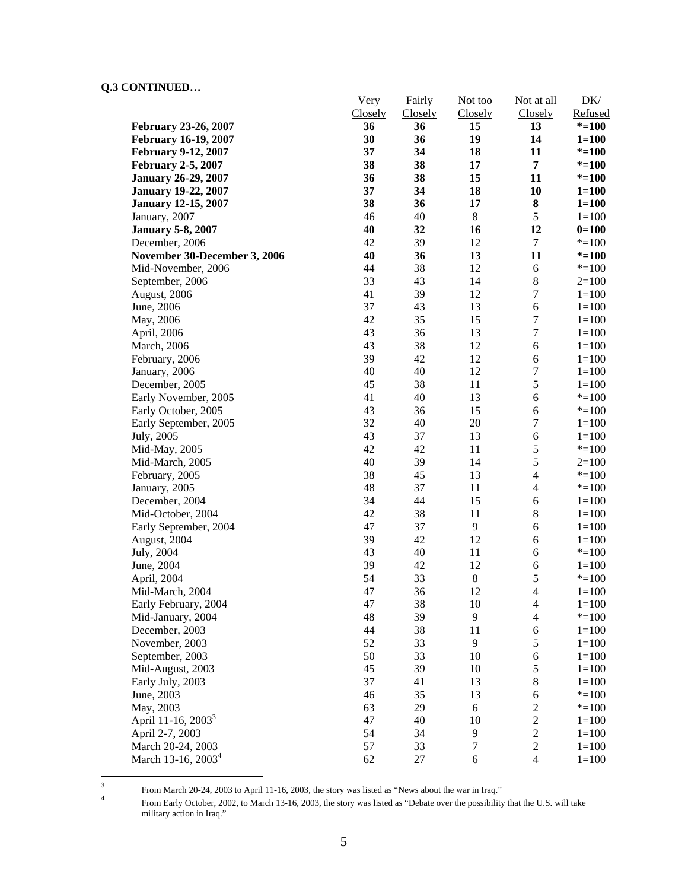|                                | Very     | Fairly         | Not too          | Not at all                    | DK/                    |
|--------------------------------|----------|----------------|------------------|-------------------------------|------------------------|
|                                | Closely  | <b>Closely</b> | Closely          | Closely                       | Refused                |
| February 23-26, 2007           | 36       | 36             | 15               | 13                            | $* = 100$              |
| <b>February 16-19, 2007</b>    | 30       | 36             | 19               | 14                            | $1 = 100$              |
| <b>February 9-12, 2007</b>     | 37       | 34             | 18               | 11                            | $* = 100$              |
| <b>February 2-5, 2007</b>      | 38       | 38             | 17               | $\overline{7}$                | $* = 100$              |
| <b>January 26-29, 2007</b>     | 36       | 38             | 15               | 11                            | $* = 100$              |
| <b>January 19-22, 2007</b>     | 37       | 34             | 18               | 10                            | $1 = 100$              |
| <b>January 12-15, 2007</b>     | 38       | 36             | 17               | 8                             | $1 = 100$              |
| January, 2007                  | 46       | 40             | $\,8\,$          | $\mathfrak s$                 | $1 = 100$              |
| <b>January 5-8, 2007</b>       | 40       | 32             | 16               | 12                            | $0=100$                |
| December, 2006                 | 42       | 39             | 12               | 7                             | $* = 100$              |
| November 30-December 3, 2006   | 40       | 36             | 13               | 11                            | $* = 100$              |
| Mid-November, 2006             | 44       | 38             | 12               | 6                             | $* = 100$              |
| September, 2006                | 33       | 43             | 14               | $8\,$                         | $2=100$                |
| August, 2006                   | 41       | 39             | 12               | $\boldsymbol{7}$              | $1 = 100$              |
| June, 2006                     | 37       | 43             | 13               | 6                             | $1 = 100$              |
| May, 2006                      | 42       | 35             | 15               | $\boldsymbol{7}$              | $1 = 100$              |
| April, 2006                    | 43       | 36             | 13               | $\boldsymbol{7}$              | $1 = 100$              |
| <b>March</b> , 2006            | 43       | 38<br>42       | 12               | 6                             | $1 = 100$              |
| February, 2006                 | 39       |                | 12               | 6<br>$\boldsymbol{7}$         | $1 = 100$              |
| January, 2006                  | 40       | 40             | 12               |                               | $1 = 100$              |
| December, 2005                 | 45       | 38             | 11               | 5                             | $1 = 100$              |
| Early November, 2005           | 41       | 40             | 13               | 6                             | $* = 100$              |
| Early October, 2005            | 43       | 36             | 15               | $\epsilon$                    | $* = 100$              |
| Early September, 2005          | 32       | 40             | 20               | $\boldsymbol{7}$              | $1 = 100$              |
| July, 2005                     | 43       | 37             | 13               | 6                             | $1 = 100$              |
| Mid-May, 2005                  | 42       | 42             | 11               | 5                             | $* = 100$              |
| Mid-March, 2005                | 40<br>38 | 39             | 14               | 5<br>$\overline{\mathcal{L}}$ | $2=100$                |
| February, 2005                 |          | 45             | 13               | $\overline{4}$                | $* = 100$              |
| January, 2005                  | 48       | 37<br>44       | 11               |                               | $* = 100$              |
| December, 2004                 | 34<br>42 | 38             | 15<br>11         | 6<br>$8\,$                    | $1 = 100$<br>$1 = 100$ |
| Mid-October, 2004              | 47       | 37             | 9                | 6                             | $1 = 100$              |
| Early September, 2004          | 39       | 42             | 12               | 6                             | $1 = 100$              |
| August, 2004                   | 43       | 40             | 11               | 6                             | $* = 100$              |
| July, 2004<br>June, 2004       | 39       | 42             | 12               | 6                             | $1 = 100$              |
| April, 2004                    | 54       | 33             | $\,$ 8 $\,$      | 5                             | $* = 100$              |
| Mid-March, 2004                | 47       | 36             | 12               | $\overline{4}$                | $1 = 100$              |
| Early February, 2004           | 47       | 38             | 10               | $\overline{\mathcal{A}}$      | $1 = 100$              |
| Mid-January, 2004              | 48       | 39             | 9                | $\overline{4}$                | $* = 100$              |
| December, 2003                 | 44       | 38             | 11               | 6                             | $1 = 100$              |
| November, 2003                 | 52       | 33             | $\overline{9}$   | 5                             | $1 = 100$              |
| September, 2003                | 50       | 33             | 10               | 6                             | $1 = 100$              |
| Mid-August, 2003               | 45       | 39             | 10               | $\mathfrak s$                 | $1 = 100$              |
| Early July, 2003               | 37       | 41             | 13               | $8\,$                         | $1 = 100$              |
| June, 2003                     | 46       | 35             | 13               | 6                             | $* = 100$              |
| May, 2003                      | 63       | 29             | 6                | $\boldsymbol{2}$              | $* = 100$              |
| April 11-16, 2003 <sup>3</sup> | 47       | 40             | 10               | $\sqrt{2}$                    | $1 = 100$              |
| April 2-7, 2003                | 54       | 34             | 9                | $\sqrt{2}$                    | $1 = 100$              |
| March 20-24, 2003              | 57       | 33             | $\boldsymbol{7}$ | $\sqrt{2}$                    | $1 = 100$              |
| March 13-16, 2003 <sup>4</sup> | 62       | 27             | $\sqrt{6}$       | $\overline{4}$                | $1 = 100$              |
|                                |          |                |                  |                               |                        |

 $\frac{1}{3}$ From March 20-24, 2003 to April 11-16, 2003, the story was listed as "News about the war in Iraq."  $\frac{4}{4}$ 

From Early October, 2002, to March 13-16, 2003, the story was listed as "Debate over the possibility that the U.S. will take military action in Iraq."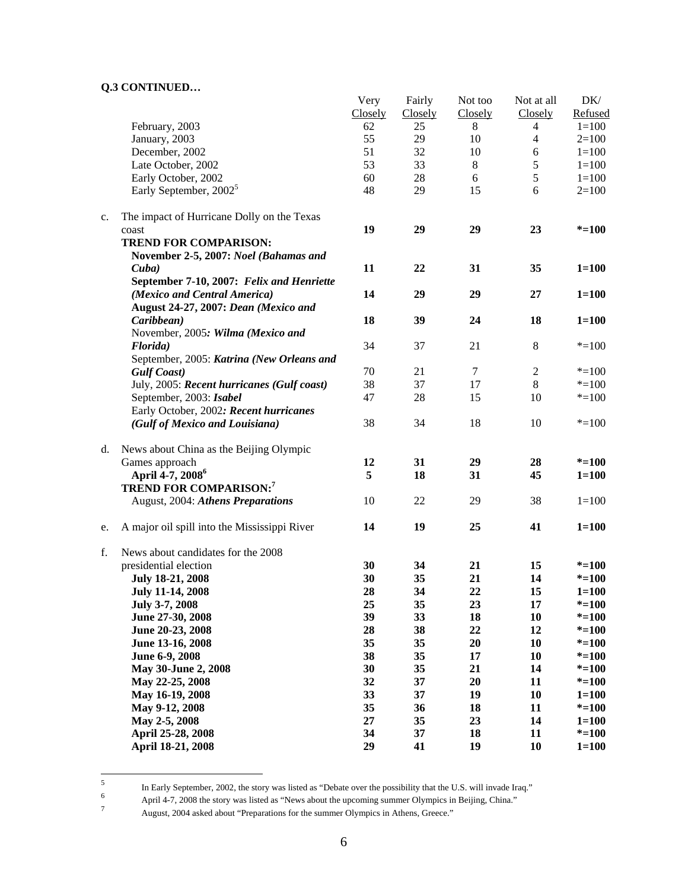|    |                                              | Very    | Fairly  | Not too | Not at all     | DK/       |
|----|----------------------------------------------|---------|---------|---------|----------------|-----------|
|    |                                              | Closely | Closely | Closely | Closely        | Refused   |
|    | February, 2003                               | 62      | 25      | 8       | 4              | $1 = 100$ |
|    | January, 2003                                | 55      | 29      | 10      | 4              | $2=100$   |
|    | December, 2002                               | 51      | 32      | 10      | $\sqrt{6}$     | $1 = 100$ |
|    | Late October, 2002                           | 53      | 33      | $\,8\,$ | 5              | $1 = 100$ |
|    | Early October, 2002                          | 60      | $28\,$  | 6       | 5              | $1 = 100$ |
|    | Early September, 2002 <sup>5</sup>           | 48      | 29      | 15      | 6              | $2=100$   |
|    |                                              |         |         |         |                |           |
| c. | The impact of Hurricane Dolly on the Texas   |         |         |         |                |           |
|    | coast                                        | 19      | 29      | 29      | 23             | $* = 100$ |
|    | <b>TREND FOR COMPARISON:</b>                 |         |         |         |                |           |
|    | November 2-5, 2007: Noel (Bahamas and        |         |         |         |                |           |
|    | $\mathbf{C}$ uba)                            | 11      | 22      | 31      | 35             | $1 = 100$ |
|    | September 7-10, 2007: Felix and Henriette    |         |         |         |                |           |
|    | (Mexico and Central America)                 | 14      | 29      | 29      | 27             | $1 = 100$ |
|    | August 24-27, 2007: Dean (Mexico and         |         |         |         |                |           |
|    | Caribbean)                                   | 18      | 39      | 24      | 18             | $1 = 100$ |
|    | November, 2005: Wilma (Mexico and            |         |         |         |                |           |
|    | Florida)                                     | 34      | 37      | 21      | $\,8\,$        | $* = 100$ |
|    | September, 2005: Katrina (New Orleans and    |         |         |         |                |           |
|    | <b>Gulf Coast</b> )                          | 70      | 21      | 7       | $\overline{2}$ | $* = 100$ |
|    | July, 2005: Recent hurricanes (Gulf coast)   | 38      | 37      | 17      | 8              | $* = 100$ |
|    | September, 2003: Isabel                      | 47      | 28      | 15      | 10             | $* = 100$ |
|    | Early October, 2002: Recent hurricanes       |         |         |         |                |           |
|    | (Gulf of Mexico and Louisiana)               | 38      | 34      | 18      | 10             | $* = 100$ |
| d. | News about China as the Beijing Olympic      |         |         |         |                |           |
|    | Games approach                               | 12      | 31      | 29      | 28             | $* = 100$ |
|    | April 4-7, 2008 <sup>6</sup>                 | 5       | 18      | 31      | 45             | $1 = 100$ |
|    | <b>TREND FOR COMPARISON:</b> 7               |         |         |         |                |           |
|    | August, 2004: Athens Preparations            | 10      | 22      | 29      | 38             | $1 = 100$ |
| e. | A major oil spill into the Mississippi River | 14      | 19      | 25      | 41             | $1 = 100$ |
| f. | News about candidates for the 2008           |         |         |         |                |           |
|    | presidential election                        | 30      | 34      | 21      | 15             | $* = 100$ |
|    | <b>July 18-21, 2008</b>                      | 30      | 35      | 21      | 14             | $* = 100$ |
|    | <b>July 11-14, 2008</b>                      | 28      | 34      | 22      | 15             | $1 = 100$ |
|    | July 3-7, 2008                               | 25      | 35      | 23      | 17             | $* = 100$ |
|    | June 27-30, 2008                             | 39      | 33      | 18      | 10             | $* = 100$ |
|    | June 20-23, 2008                             | 28      | 38      | 22      | 12             | $* = 100$ |
|    | June 13-16, 2008                             | 35      | 35      | 20      | 10             | $* = 100$ |
|    | June 6-9, 2008                               | 38      | 35      | 17      | 10             | $* = 100$ |
|    | May 30-June 2, 2008                          | 30      | 35      | 21      | 14             | $* = 100$ |
|    | May 22-25, 2008                              | 32      | 37      | 20      | 11             | $* = 100$ |
|    | May 16-19, 2008                              | 33      | 37      | 19      | 10             | $1 = 100$ |
|    | May 9-12, 2008                               | 35      | 36      | 18      | 11             | $* = 100$ |
|    | May 2-5, 2008                                | 27      | 35      | 23      | 14             | $1 = 100$ |
|    |                                              | 34      | 37      | 18      | 11             | $* = 100$ |
|    | April 25-28, 2008                            | 29      |         |         |                |           |
|    | April 18-21, 2008                            |         | 41      | 19      | 10             | $1 = 100$ |

 5 In Early September, 2002, the story was listed as "Debate over the possibility that the U.S. will invade Iraq."  $\frac{6}{12}$  April 4.7. 2008 the story was listed as "Naws about the upcoming summer Olympics in Beijing. China

April 4-7, 2008 the story was listed as "News about the upcoming summer Olympics in Beijing, China."

August, 2004 asked about "Preparations for the summer Olympics in Athens, Greece."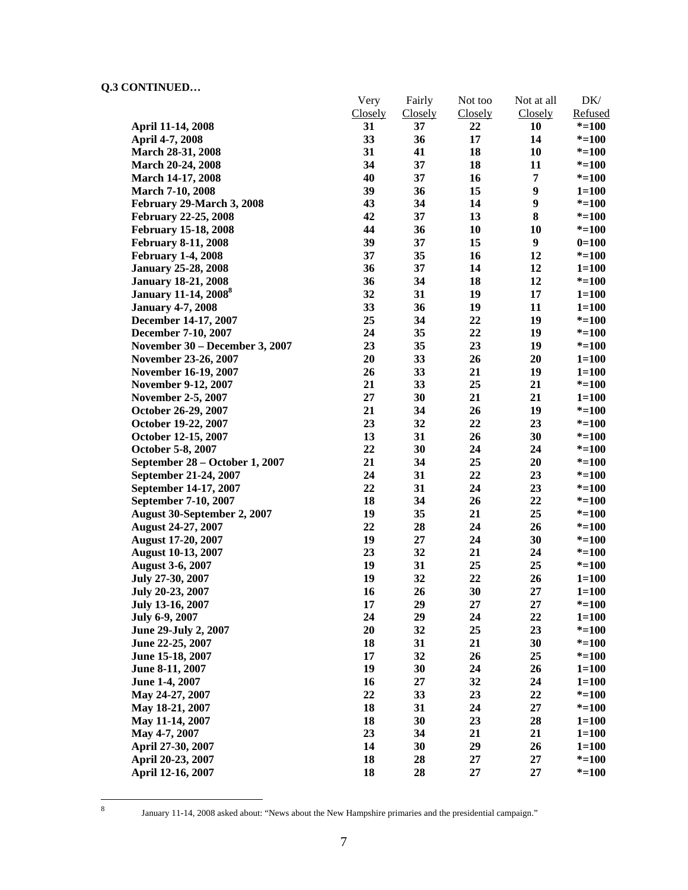|                                         | Very           | Fairly         | Not too | Not at all     | DK/       |
|-----------------------------------------|----------------|----------------|---------|----------------|-----------|
|                                         | <b>Closely</b> | <b>Closely</b> | Closely | <b>Closely</b> | Refused   |
| April 11-14, 2008                       | 31             | 37             | 22      | 10             | $* = 100$ |
| April 4-7, 2008                         | 33             | 36             | 17      | 14             | $* = 100$ |
| March 28-31, 2008                       | 31             | 41             | 18      | 10             | $* = 100$ |
| March 20-24, 2008                       | 34             | 37             | 18      | 11             | $* = 100$ |
| <b>March 14-17, 2008</b>                | 40             | 37             | 16      | 7              | $* = 100$ |
| <b>March 7-10, 2008</b>                 | 39             | 36             | 15      | 9              | $1 = 100$ |
| February 29-March 3, 2008               | 43             | 34             | 14      | 9              | $* = 100$ |
| <b>February 22-25, 2008</b>             | 42             | 37             | 13      | 8              | $* = 100$ |
| February 15-18, 2008                    | 44             | 36             | 10      | 10             | $* = 100$ |
| <b>February 8-11, 2008</b>              | 39             | 37             | 15      | 9              | $0=100$   |
| <b>February 1-4, 2008</b>               | 37             | 35             | 16      | 12             | $* = 100$ |
| <b>January 25-28, 2008</b>              | 36             | 37             | 14      | 12             | $1 = 100$ |
| <b>January 18-21, 2008</b>              | 36             | 34             | 18      | 12             | $* = 100$ |
| <b>January 11-14, 2008</b> <sup>8</sup> | 32             | 31             | 19      | 17             | $1 = 100$ |
| <b>January 4-7, 2008</b>                | 33             | 36             | 19      | 11             | $1 = 100$ |
| December 14-17, 2007                    | 25             | 34             | 22      | 19             | $* = 100$ |
| December 7-10, 2007                     | 24             | 35             | 22      | 19             | $* = 100$ |
| November 30 - December 3, 2007          | 23             | 35             | 23      | 19             | $* = 100$ |
| November 23-26, 2007                    | 20             | 33             | 26      | 20             | $1 = 100$ |
| November 16-19, 2007                    | 26             | 33             | 21      | 19             | $1 = 100$ |
| <b>November 9-12, 2007</b>              | 21             | 33             | 25      | 21             | $* = 100$ |
| <b>November 2-5, 2007</b>               | 27             | 30             | 21      | 21             | $1 = 100$ |
| October 26-29, 2007                     | 21             | 34             | 26      | 19             | $* = 100$ |
| October 19-22, 2007                     | 23             | 32             | 22      | 23             | $* = 100$ |
| October 12-15, 2007                     | 13             | 31             | 26      | 30             | $* = 100$ |
| October 5-8, 2007                       | 22             | 30             | 24      | 24             | $* = 100$ |
| September 28 - October 1, 2007          | 21             | 34             | 25      | 20             | $* = 100$ |
| September 21-24, 2007                   | 24             | 31             | 22      | 23             | $* = 100$ |
| September 14-17, 2007                   | 22             | 31             | 24      | 23             | $* = 100$ |
| September 7-10, 2007                    | 18             | 34             | 26      | 22             | $* = 100$ |
| August 30-September 2, 2007             | 19             | 35             | 21      | 25             | $* = 100$ |
| <b>August 24-27, 2007</b>               | 22             | 28             | 24      | 26             | $* = 100$ |
| <b>August 17-20, 2007</b>               | 19             | 27             | 24      | 30             | $* = 100$ |
| <b>August 10-13, 2007</b>               | 23             | 32             | 21      | 24             | $* = 100$ |
| <b>August 3-6, 2007</b>                 | 19             | 31             | 25      | 25             | $* = 100$ |
| July 27-30, 2007                        | 19             | 32             | 22      | 26             | $1 = 100$ |
| July 20-23, 2007                        | 16             | 26             | 30      | 27             | $1 = 100$ |
| July 13-16, 2007                        | 17             | 29             | 27      | 27             | $* = 100$ |
| July 6-9, 2007                          | 24             | 29             | 24      | 22             | $1 = 100$ |
| June 29-July 2, 2007                    | 20             | 32             | 25      | 23             | $* = 100$ |
| June 22-25, 2007                        | 18             | 31             | 21      | 30             | $* = 100$ |
| June 15-18, 2007                        | 17             | 32             | 26      | 25             | $* = 100$ |
| June 8-11, 2007                         | 19             | 30             | 24      | 26             | $1 = 100$ |
| June 1-4, 2007                          | 16             | 27             | 32      | 24             | $1 = 100$ |
| May 24-27, 2007                         | 22             | 33             | 23      | 22             | $* = 100$ |
| May 18-21, 2007                         | 18             | 31             | 24      | 27             | $* = 100$ |
| May 11-14, 2007                         | 18             | 30             | 23      | 28             | $1 = 100$ |
| May 4-7, 2007                           | 23             | 34             | 21      | 21             | $1 = 100$ |
| April 27-30, 2007                       | 14             | 30             | 29      | 26             | $1 = 100$ |
| April 20-23, 2007                       | 18             | 28             | 27      | 27             | $* = 100$ |
| April 12-16, 2007                       | 18             | 28             | 27      | 27             | $* = 100$ |

8

January 11-14, 2008 asked about: "News about the New Hampshire primaries and the presidential campaign."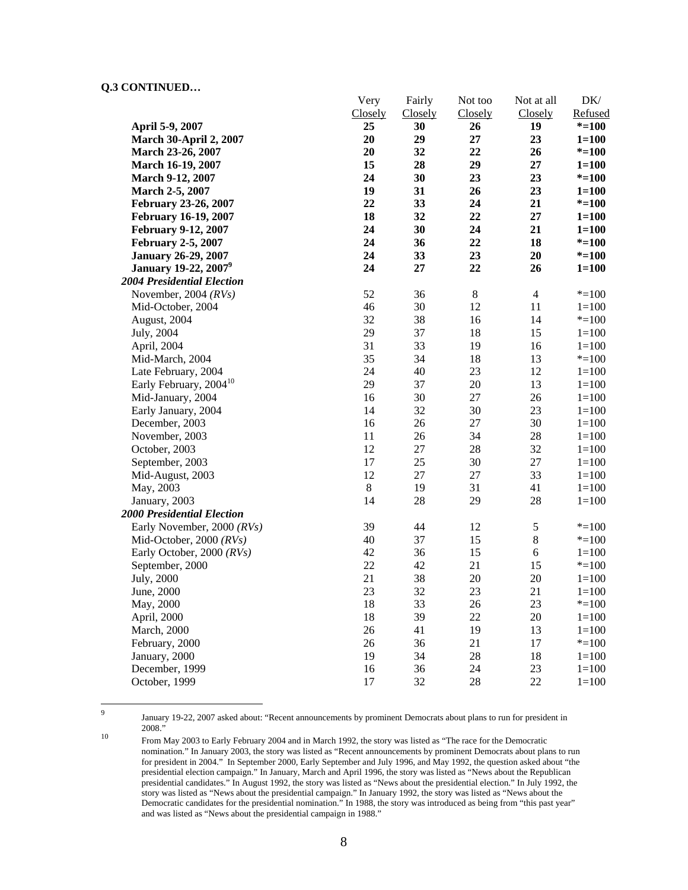|                                         | Very    | Fairly  | Not too | Not at all     | DK/       |
|-----------------------------------------|---------|---------|---------|----------------|-----------|
|                                         | Closely | Closely | Closely | Closely        | Refused   |
| April 5-9, 2007                         | 25      | 30      | 26      | 19             | $* = 100$ |
| <b>March 30-April 2, 2007</b>           | 20      | 29      | 27      | 23             | $1 = 100$ |
| March 23-26, 2007                       | 20      | 32      | 22      | 26             | $* = 100$ |
| March 16-19, 2007                       | 15      | 28      | 29      | 27             | $1 = 100$ |
| <b>March 9-12, 2007</b>                 | 24      | 30      | 23      | 23             | $* = 100$ |
| March 2-5, 2007                         | 19      | 31      | 26      | 23             | $1 = 100$ |
| February 23-26, 2007                    | 22      | 33      | 24      | 21             | $* = 100$ |
| <b>February 16-19, 2007</b>             | 18      | 32      | 22      | 27             | $1 = 100$ |
| <b>February 9-12, 2007</b>              | 24      | 30      | 24      | 21             | $1 = 100$ |
| <b>February 2-5, 2007</b>               | 24      | 36      | 22      | 18             | $* = 100$ |
| <b>January 26-29, 2007</b>              | 24      | 33      | 23      | 20             | $* = 100$ |
| <b>January 19-22, 2007</b> <sup>9</sup> | 24      | 27      | 22      | 26             | $1 = 100$ |
| <b>2004 Presidential Election</b>       |         |         |         |                |           |
| November, 2004 $(RVs)$                  | 52      | 36      | $8\,$   | $\overline{4}$ | $* = 100$ |
| Mid-October, 2004                       | 46      | 30      | 12      | 11             | $1 = 100$ |
| August, 2004                            | 32      | 38      | 16      | 14             | $* = 100$ |
| July, 2004                              | 29      | 37      | 18      | 15             | $1 = 100$ |
| April, 2004                             | 31      | 33      | 19      | 16             | $1 = 100$ |
| Mid-March, 2004                         | 35      | 34      | 18      | 13             | $* = 100$ |
| Late February, 2004                     | 24      | 40      | 23      | 12             | $1 = 100$ |
| Early February, 2004 <sup>10</sup>      | 29      | 37      | 20      | 13             | $1 = 100$ |
| Mid-January, 2004                       | 16      | 30      | 27      | 26             | $1 = 100$ |
| Early January, 2004                     | 14      | 32      | 30      | 23             | $1 = 100$ |
| December, 2003                          | 16      | 26      | 27      | 30             | $1 = 100$ |
| November, 2003                          | 11      | 26      | 34      | 28             | $1 = 100$ |
| October, 2003                           | 12      | $27\,$  | 28      | 32             | $1 = 100$ |
| September, 2003                         | 17      | 25      | 30      | $27\,$         | $1 = 100$ |
| Mid-August, 2003                        | 12      | $27\,$  | 27      | 33             | $1 = 100$ |
| May, 2003                               | $\,8\,$ | 19      | 31      | 41             | $1 = 100$ |
| January, 2003                           | 14      | 28      | 29      | 28             | $1 = 100$ |
| <b>2000 Presidential Election</b>       |         |         |         |                |           |
| Early November, 2000 (RVs)              | 39      | 44      | 12      | $\mathfrak s$  | $* = 100$ |
| Mid-October, 2000 $(RVs)$               | 40      | 37      | 15      | $8\,$          | $* = 100$ |
| Early October, 2000 (RVs)               | 42      | 36      | 15      | $\sqrt{6}$     | $1 = 100$ |
| September, 2000                         | 22      | 42      | 21      | 15             | $* = 100$ |
| July, 2000                              | 21      | 38      | 20      | 20             | $1 = 100$ |
| June, 2000                              | 23      | 32      | 23      | 21             | $1 = 100$ |
| May, 2000                               | 18      | 33      | 26      | 23             | $* = 100$ |
| April, 2000                             | 18      | 39      | $22\,$  | 20             | $1 = 100$ |
| March, 2000                             | 26      | 41      | 19      | 13             | $1 = 100$ |
| February, 2000                          | 26      | 36      | 21      | 17             | $* = 100$ |
| January, 2000                           | 19      | 34      | 28      | 18             | $1 = 100$ |
| December, 1999                          | 16      | 36      | 24      | 23             | $1 = 100$ |
| October, 1999                           | 17      | 32      | 28      | 22             | $1 = 100$ |

-<br>9

January 19-22, 2007 asked about: "Recent announcements by prominent Democrats about plans to run for president in

<sup>&</sup>lt;sup>10</sup> From May 2003 to Early February 2004 and in March 1992, the story was listed as "The race for the Democratic nomination." In January 2003, the story was listed as "Recent announcements by prominent Democrats about plans to run for president in 2004." In September 2000, Early September and July 1996, and May 1992, the question asked about "the presidential election campaign." In January, March and April 1996, the story was listed as "News about the Republican presidential candidates." In August 1992, the story was listed as "News about the presidential election." In July 1992, the story was listed as "News about the presidential campaign." In January 1992, the story was listed as "News about the Democratic candidates for the presidential nomination." In 1988, the story was introduced as being from "this past year" and was listed as "News about the presidential campaign in 1988."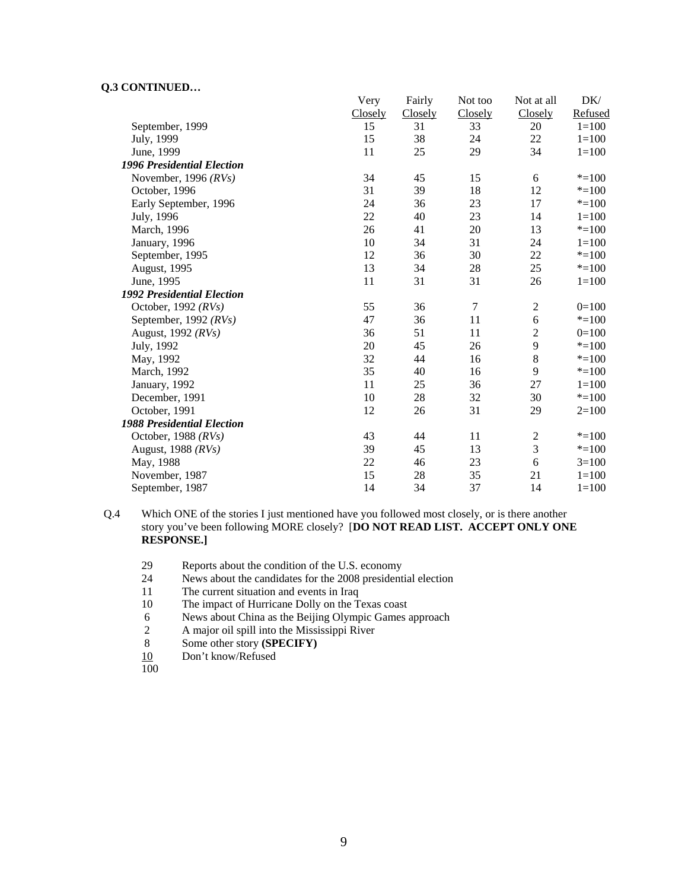|                                   | Very    | Fairly  | Not too          | Not at all       | DK/       |
|-----------------------------------|---------|---------|------------------|------------------|-----------|
|                                   | Closely | Closely | Closely          | Closely          | Refused   |
| September, 1999                   | 15      | 31      | 33               | 20               | $1 = 100$ |
| July, 1999                        | 15      | 38      | 24               | 22               | $1 = 100$ |
| June, 1999                        | 11      | 25      | 29               | 34               | $1 = 100$ |
| <b>1996 Presidential Election</b> |         |         |                  |                  |           |
| November, 1996 $(RVs)$            | 34      | 45      | 15               | 6                | $* = 100$ |
| October, 1996                     | 31      | 39      | 18               | 12               | $* = 100$ |
| Early September, 1996             | 24      | 36      | 23               | 17               | $* = 100$ |
| July, 1996                        | 22      | 40      | 23               | 14               | $1 = 100$ |
| March, 1996                       | 26      | 41      | 20               | 13               | $*=100$   |
| January, 1996                     | 10      | 34      | 31               | 24               | $1 = 100$ |
| September, 1995                   | 12      | 36      | 30               | 22               | $* = 100$ |
| August, 1995                      | 13      | 34      | 28               | 25               | $* = 100$ |
| June, 1995                        | 11      | 31      | 31               | 26               | $1 = 100$ |
| <b>1992 Presidential Election</b> |         |         |                  |                  |           |
| October, 1992 $(RVs)$             | 55      | 36      | $\boldsymbol{7}$ | $\boldsymbol{2}$ | $0=100$   |
| September, 1992 (RVs)             | 47      | 36      | 11               | 6                | $* = 100$ |
| August, 1992 (RVs)                | 36      | 51      | 11               | $\overline{2}$   | $0=100$   |
| July, 1992                        | 20      | 45      | 26               | 9                | $* = 100$ |
| May, 1992                         | 32      | 44      | 16               | $8\,$            | $* = 100$ |
| March, 1992                       | 35      | 40      | 16               | 9                | $* = 100$ |
| January, 1992                     | 11      | 25      | 36               | 27               | $1 = 100$ |
| December, 1991                    | 10      | 28      | 32               | 30               | $* = 100$ |
| October, 1991                     | 12      | 26      | 31               | 29               | $2=100$   |
| <b>1988 Presidential Election</b> |         |         |                  |                  |           |
| October, 1988 $(RVs)$             | 43      | 44      | 11               | $\sqrt{2}$       | $* = 100$ |
| August, 1988 (RVs)                | 39      | 45      | 13               | 3                | $*=100$   |
| May, 1988                         | 22      | 46      | 23               | 6                | $3=100$   |
| November, 1987                    | 15      | 28      | 35               | 21               | $1 = 100$ |
| September, 1987                   | 14      | 34      | 37               | 14               | $1 = 100$ |

Q.4 Which ONE of the stories I just mentioned have you followed most closely, or is there another story you've been following MORE closely? [**DO NOT READ LIST. ACCEPT ONLY ONE RESPONSE.]** 

- 29 Reports about the condition of the U.S. economy
- 24 News about the candidates for the 2008 presidential election
- 11 The current situation and events in Iraq
- 10 The impact of Hurricane Dolly on the Texas coast
- 6 News about China as the Beijing Olympic Games approach
- 2 A major oil spill into the Mississippi River<br>8 Some other story (SPECIFY)
- 8 Some other story **(SPECIFY)**
- 10 Don't know/Refused

100